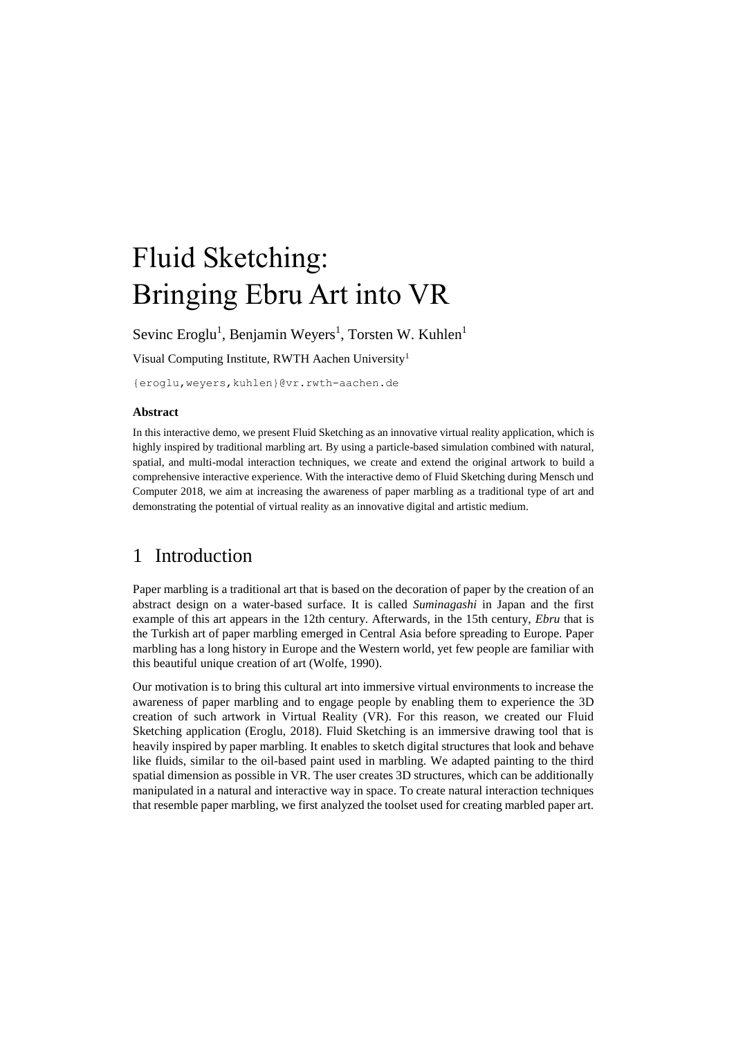# Fluid Sketching: Bringing Ebru Art into VR

Sevinc Eroglu<sup>1</sup>, Benjamin Weyers<sup>1</sup>, Torsten W. Kuhlen<sup>1</sup>

Visual Computing Institute, RWTH Aachen University<sup>1</sup>

{eroglu,weyers,kuhlen}@vr.rwth-aachen.de

#### **Abstract**

In this interactive demo, we present Fluid Sketching as an innovative virtual reality application, which is highly inspired by traditional marbling art. By using a particle-based simulation combined with natural, spatial, and multi-modal interaction techniques, we create and extend the original artwork to build a comprehensive interactive experience. With the interactive demo of Fluid Sketching during Mensch und Computer 2018, we aim at increasing the awareness of paper marbling as a traditional type of art and demonstrating the potential of virtual reality as an innovative digital and artistic medium.

#### 1 Introduction

Paper marbling is a traditional art that is based on the decoration of paper by the creation of an abstract design on a water-based surface. It is called *Suminagashi* in Japan and the first example of this art appears in the 12th century. Afterwards, in the 15th century, *Ebru* that is the Turkish art of paper marbling emerged in Central Asia before spreading to Europe. Paper marbling has a long history in Europe and the Western world, yet few people are familiar with this beautiful unique creation of art (Wolfe, 1990).

Our motivation is to bring this cultural art into immersive virtual environments to increase the awareness of paper marbling and to engage people by enabling them to experience the 3D creation of such artwork in Virtual Reality (VR). For this reason, we created our Fluid Sketching application (Eroglu, 2018). Fluid Sketching is an immersive drawing tool that is heavily inspired by paper marbling. It enables to sketch digital structures that look and behave like fluids, similar to the oil-based paint used in marbling. We adapted painting to the third spatial dimension as possible in VR. The user creates 3D structures, which can be additionally manipulated in a natural and interactive way in space. To create natural interaction techniques that resemble paper marbling, we first analyzed the toolset used for creating marbled paper art.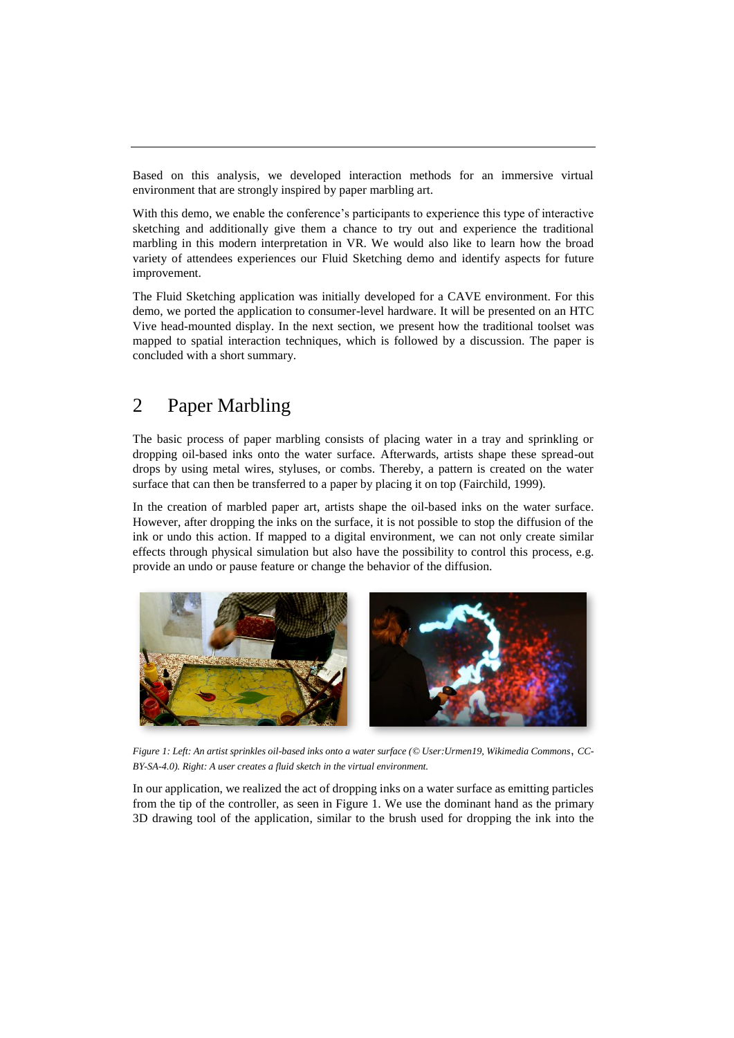Based on this analysis, we developed interaction methods for an immersive virtual environment that are strongly inspired by paper marbling art.

With this demo, we enable the conference's participants to experience this type of interactive sketching and additionally give them a chance to try out and experience the traditional marbling in this modern interpretation in VR. We would also like to learn how the broad variety of attendees experiences our Fluid Sketching demo and identify aspects for future improvement.

The Fluid Sketching application was initially developed for a CAVE environment. For this demo, we ported the application to consumer-level hardware. It will be presented on an HTC Vive head-mounted display. In the next section, we present how the traditional toolset was mapped to spatial interaction techniques, which is followed by a discussion. The paper is concluded with a short summary.

### 2 Paper Marbling

The basic process of paper marbling consists of placing water in a tray and sprinkling or dropping oil-based inks onto the water surface. Afterwards, artists shape these spread-out drops by using metal wires, styluses, or combs. Thereby, a pattern is created on the water surface that can then be transferred to a paper by placing it on top (Fairchild, 1999).

In the creation of marbled paper art, artists shape the oil-based inks on the water surface. However, after dropping the inks on the surface, it is not possible to stop the diffusion of the ink or undo this action. If mapped to a digital environment, we can not only create similar effects through physical simulation but also have the possibility to control this process, e.g. provide an undo or pause feature or change the behavior of the diffusion.



*Figure 1: Left: An artist sprinkles oil-based inks onto a water surface ([© User:U](http://commons.wikimedia.org/wiki/User:Example)rmen19, [Wikimedia Commons](http://commons.wikimedia.org/)*, *[CC-](http://creativecommons.org/licenses/by-sa/3.0/)[BY-SA-4.0\)](http://creativecommons.org/licenses/by-sa/3.0/). Right: A user creates a fluid sketch in the virtual environment.*

In our application, we realized the act of dropping inks on a water surface as emitting particles from the tip of the controller, as seen in Figure 1. We use the dominant hand as the primary 3D drawing tool of the application, similar to the brush used for dropping the ink into the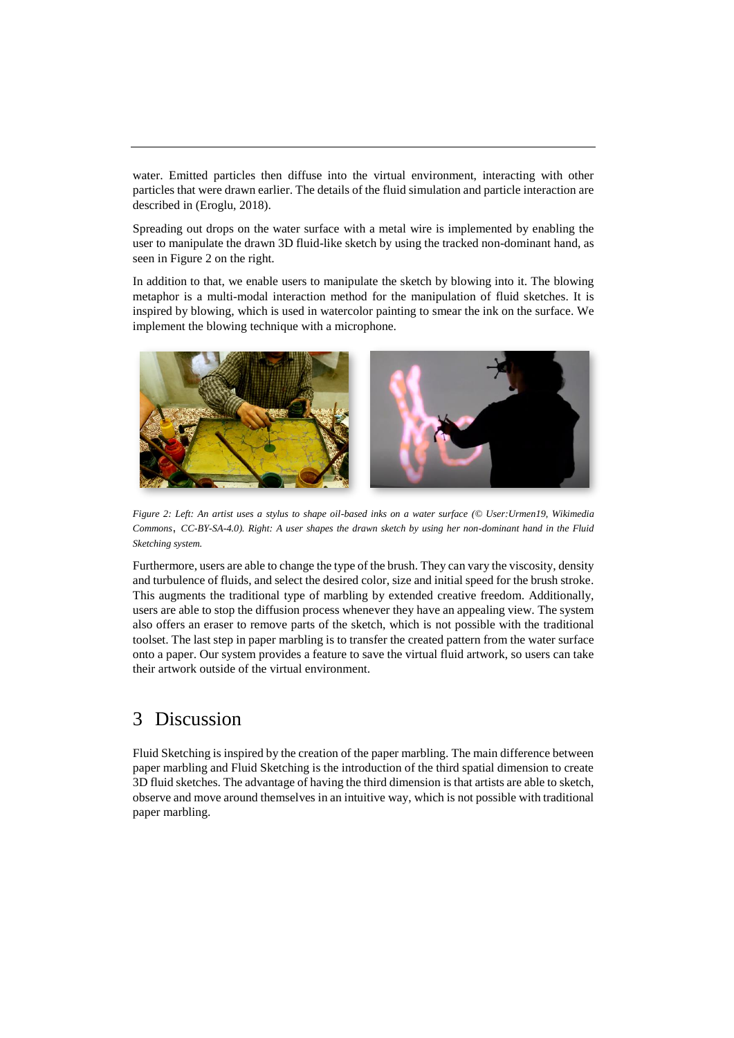water. Emitted particles then diffuse into the virtual environment, interacting with other particles that were drawn earlier. The details of the fluid simulation and particle interaction are described in (Eroglu, 2018).

Spreading out drops on the water surface with a metal wire is implemented by enabling the user to manipulate the drawn 3D fluid-like sketch by using the tracked non-dominant hand, as seen in Figure 2 on the right.

In addition to that, we enable users to manipulate the sketch by blowing into it. The blowing metaphor is a multi-modal interaction method for the manipulation of fluid sketches. It is inspired by blowing, which is used in watercolor painting to smear the ink on the surface. We implement the blowing technique with a microphone.



*Figure 2: Left: An artist uses a stylus to shape oil-based inks on a water surface (© [User:U](http://commons.wikimedia.org/wiki/User:Example)rmen19, [Wikimedia](http://commons.wikimedia.org/)  [Commons](http://commons.wikimedia.org/)*, *[CC-BY-SA-4.0\)](http://creativecommons.org/licenses/by-sa/3.0/). Right: A user shapes the drawn sketch by using her non-dominant hand in the Fluid Sketching system.*

Furthermore, users are able to change the type of the brush. They can vary the viscosity, density and turbulence of fluids, and select the desired color, size and initial speed for the brush stroke. This augments the traditional type of marbling by extended creative freedom. Additionally, users are able to stop the diffusion process whenever they have an appealing view. The system also offers an eraser to remove parts of the sketch, which is not possible with the traditional toolset. The last step in paper marbling is to transfer the created pattern from the water surface onto a paper. Our system provides a feature to save the virtual fluid artwork, so users can take their artwork outside of the virtual environment.

## 3 Discussion

Fluid Sketching is inspired by the creation of the paper marbling. The main difference between paper marbling and Fluid Sketching is the introduction of the third spatial dimension to create 3D fluid sketches. The advantage of having the third dimension is that artists are able to sketch, observe and move around themselves in an intuitive way, which is not possible with traditional paper marbling.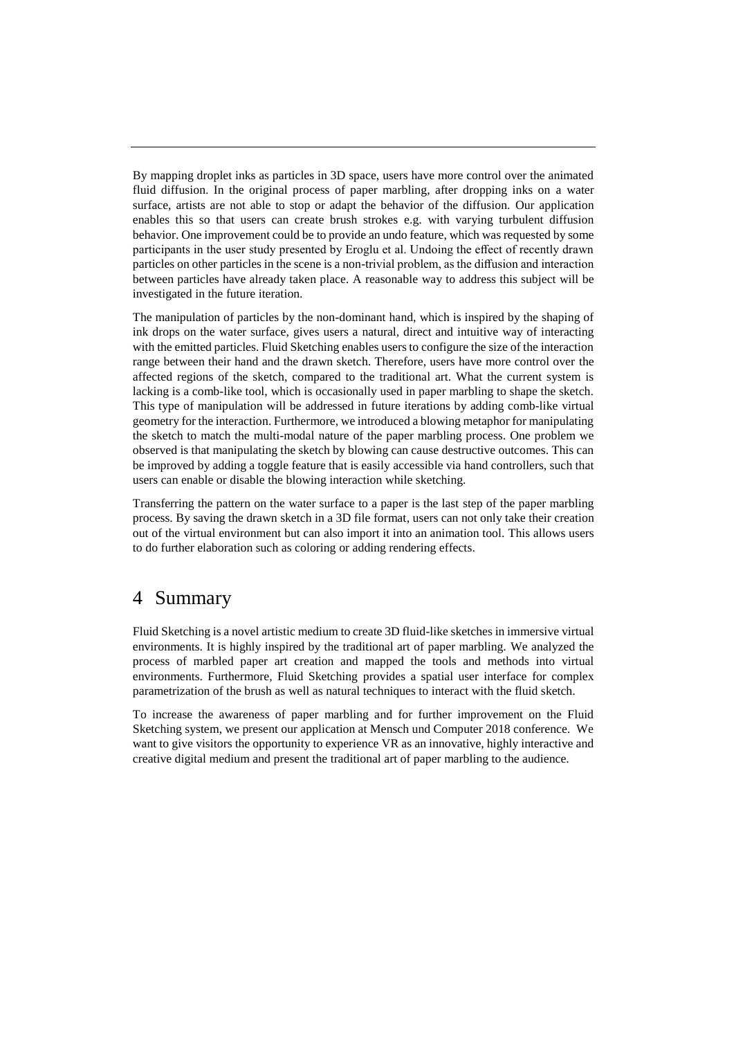By mapping droplet inks as particles in 3D space, users have more control over the animated fluid diffusion. In the original process of paper marbling, after dropping inks on a water surface, artists are not able to stop or adapt the behavior of the diffusion. Our application enables this so that users can create brush strokes e.g. with varying turbulent diffusion behavior. One improvement could be to provide an undo feature, which was requested by some participants in the user study presented by Eroglu et al. Undoing the effect of recently drawn particles on other particles in the scene is a non-trivial problem, as the diffusion and interaction between particles have already taken place. A reasonable way to address this subject will be investigated in the future iteration.

The manipulation of particles by the non-dominant hand, which is inspired by the shaping of ink drops on the water surface, gives users a natural, direct and intuitive way of interacting with the emitted particles. Fluid Sketching enables users to configure the size of the interaction range between their hand and the drawn sketch. Therefore, users have more control over the affected regions of the sketch, compared to the traditional art. What the current system is lacking is a comb-like tool, which is occasionally used in paper marbling to shape the sketch. This type of manipulation will be addressed in future iterations by adding comb-like virtual geometry for the interaction. Furthermore, we introduced a blowing metaphor for manipulating the sketch to match the multi-modal nature of the paper marbling process. One problem we observed is that manipulating the sketch by blowing can cause destructive outcomes. This can be improved by adding a toggle feature that is easily accessible via hand controllers, such that users can enable or disable the blowing interaction while sketching.

Transferring the pattern on the water surface to a paper is the last step of the paper marbling process. By saving the drawn sketch in a 3D file format, users can not only take their creation out of the virtual environment but can also import it into an animation tool. This allows users to do further elaboration such as coloring or adding rendering effects.

#### 4 Summary

Fluid Sketching is a novel artistic medium to create 3D fluid-like sketches in immersive virtual environments. It is highly inspired by the traditional art of paper marbling. We analyzed the process of marbled paper art creation and mapped the tools and methods into virtual environments. Furthermore, Fluid Sketching provides a spatial user interface for complex parametrization of the brush as well as natural techniques to interact with the fluid sketch.

To increase the awareness of paper marbling and for further improvement on the Fluid Sketching system, we present our application at Mensch und Computer 2018 conference. We want to give visitors the opportunity to experience VR as an innovative, highly interactive and creative digital medium and present the traditional art of paper marbling to the audience.